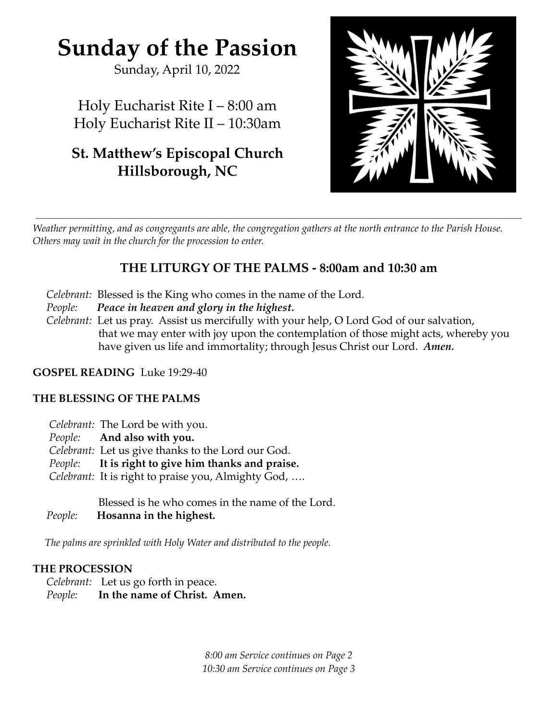# **Sunday of the Passion**

Sunday, April 10, 2022

Holy Eucharist Rite I – 8:00 am Holy Eucharist Rite II – 10:30am

# **St. Matthew's Episcopal Church Hillsborough, NC**



Weather permitting, and as congregants are able, the congregation gathers at the north entrance to the Parish House. *Others may wait in the church for the procession to enter.*

# **THE LITURGY OF THE PALMS - 8:00am and 10:30 am**

- *Celebrant:* Blessed is the King who comes in the name of the Lord.
- *People: Peace in heaven and glory in the highest.*
- *Celebrant:* Let us pray. Assist us mercifully with your help, O Lord God of our salvation, that we may enter with joy upon the contemplation of those might acts, whereby you have given us life and immortality; through Jesus Christ our Lord. *Amen.*

# **GOSPEL READING** Luke 19:29-40

# **THE BLESSING OF THE PALMS**

- *Celebrant:* The Lord be with you.
- *People:* **And also with you.**
- *Celebrant:* Let us give thanks to the Lord our God.
- *People:* **It is right to give him thanks and praise.**
- *Celebrant:* It is right to praise you, Almighty God, ….

Blessed is he who comes in the name of the Lord. *People:* **Hosanna in the highest.**

*The palms are sprinkled with Holy Water and distributed to the people.*

# **THE PROCESSION**

*Celebrant:* Let us go forth in peace. *People:* **In the name of Christ. Amen.**

> *8:00 am Service continues on Page 2 10:30 am Service continues on Page 3*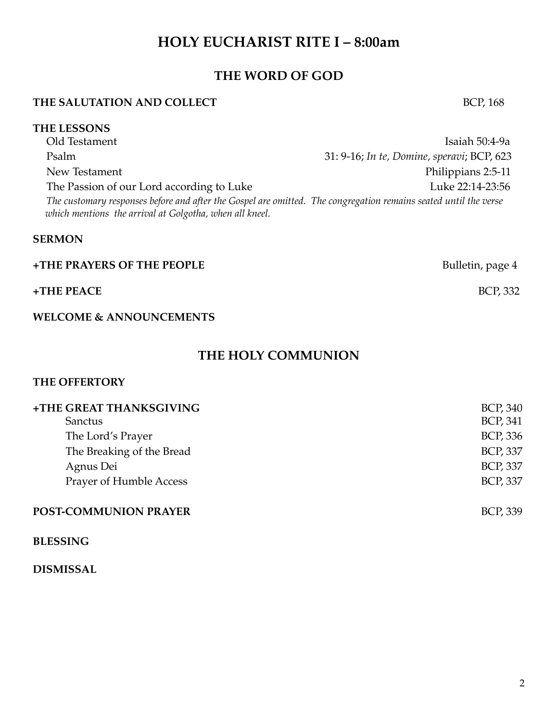# **HOLY EUCHARIST RITE I – 8:00am**

# **THE WORD OF GOD**

### **THE SALUTATION AND COLLECT** BCP, 168

#### **THE LESSONS**

Old Testament Isaiah 50:4-9a Psalm 31: 9-16; *In te, Domine, speravi*; BCP, 623 New Testament **Philippians 2:5-11** The Passion of our Lord according to Luke 22:14-23:56 The customary responses before and after the Gospel are omitted. The congregation remains seated until the verse *which mentions the arrival at Golgotha, when all kneel.*

#### **SERMON**

| +THE PRAYERS OF THE PEOPLE | Bulletin, page 4 |
|----------------------------|------------------|
| $+$ THE PEACE              | <b>BCP, 332</b>  |

### **WELCOME & ANNOUNCEMENTS**

# **THE HOLY COMMUNION**

### **THE OFFERTORY**

| +THE GREAT THANKSGIVING   | <b>BCP, 340</b> |
|---------------------------|-----------------|
| <b>Sanctus</b>            | <b>BCP, 341</b> |
| The Lord's Prayer         | <b>BCP, 336</b> |
| The Breaking of the Bread | <b>BCP, 337</b> |
| Agnus Dei                 | <b>BCP, 337</b> |
| Prayer of Humble Access   | <b>BCP, 337</b> |
| POST-COMMUNION PRAYER     | <b>BCP, 339</b> |

#### **BLESSING**

#### **DISMISSAL**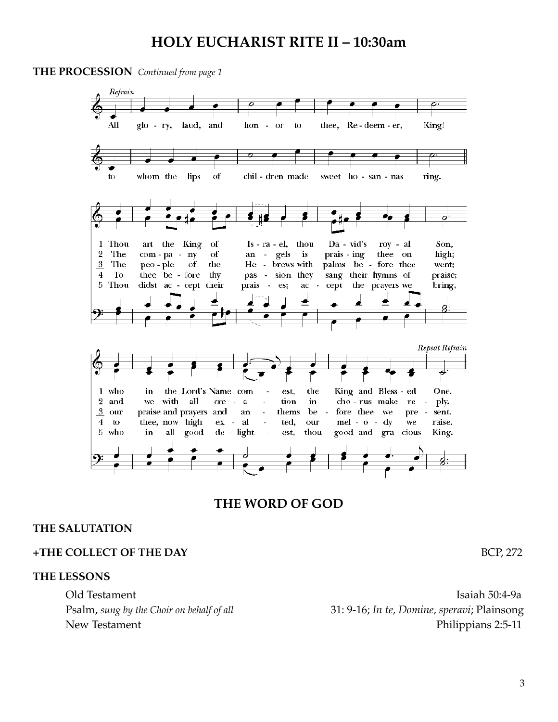# **HOLY EUCHARIST RITE II – 10:30am**

**THE PROCESSION** *Continued from page 1*



# **THE WORD OF GOD**

#### **THE SALUTATION**

#### **+THE COLLECT OF THE DAY** BCP, 272

**THE LESSONS**

Old Testament Isaiah 50:4-9a Psalm, *sung by the Choir on behalf of all* 31: 9-16; *In te, Domine, speravi*; Plainsong New Testament Philippians 2:5-11

3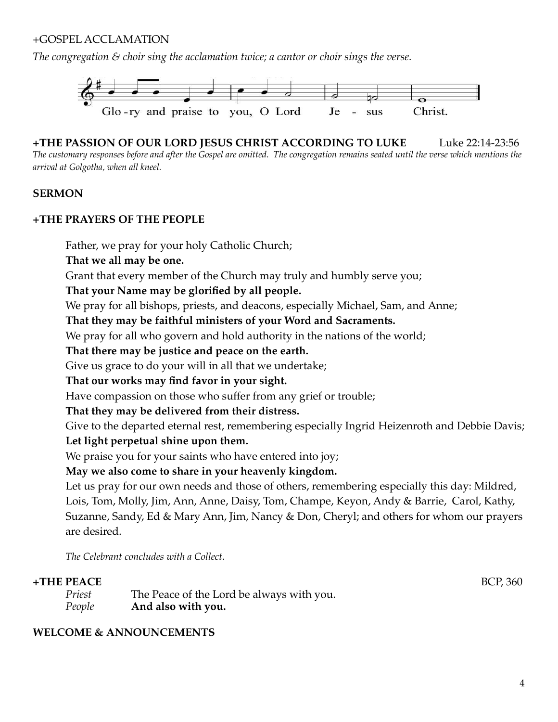### +GOSPEL ACCLAMATION

*The congregation & choir sing the acclamation twice; a cantor or choir sings the verse.*



**+THE PASSION OF OUR LORD JESUS CHRIST ACCORDING TO LUKE** Luke 22:14-23:56 The customary responses before and after the Gospel are omitted. The congregation remains seated until the verse which mentions the *arrival at Golgotha, when all kneel.*

#### **SERMON**

#### **+THE PRAYERS OF THE PEOPLE**

Father, we pray for your holy Catholic Church;

**That we all may be one.**

Grant that every member of the Church may truly and humbly serve you;

**That your Name may be glorified by all people.**

We pray for all bishops, priests, and deacons, especially Michael, Sam, and Anne;

**That they may be faithful ministers of your Word and Sacraments.**

We pray for all who govern and hold authority in the nations of the world;

**That there may be justice and peace on the earth.**

Give us grace to do your will in all that we undertake;

### **That our works may find favor in your sight.**

Have compassion on those who suffer from any grief or trouble;

#### **That they may be delivered from their distress.**

Give to the departed eternal rest, remembering especially Ingrid Heizenroth and Debbie Davis; **Let light perpetual shine upon them.**

We praise you for your saints who have entered into joy;

**May we also come to share in your heavenly kingdom.**

Let us pray for our own needs and those of others, remembering especially this day: Mildred, Lois, Tom, Molly, Jim, Ann, Anne, Daisy, Tom, Champe, Keyon, Andy & Barrie, Carol, Kathy, Suzanne, Sandy, Ed & Mary Ann, Jim, Nancy & Don, Cheryl; and others for whom our prayers are desired.

*The Celebrant concludes with a Collect.*

#### **+THE PEACE** BCP, 360

| Priest | The Peace of the Lord be always with you. |
|--------|-------------------------------------------|
| People | And also with you.                        |

### **WELCOME & ANNOUNCEMENTS**